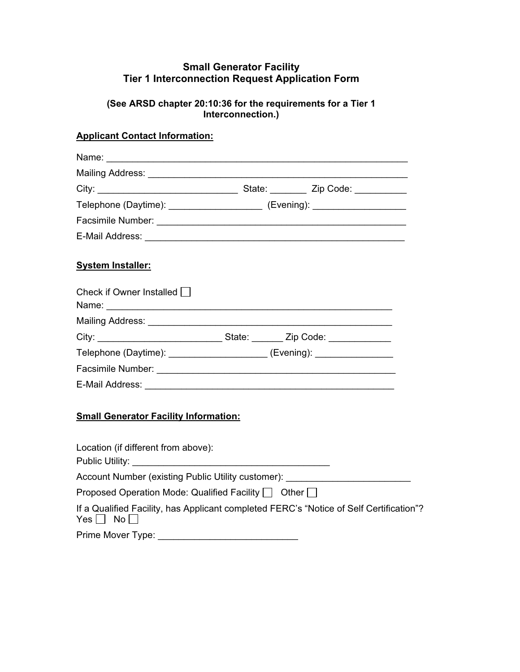## **Small Generator Facility Tier 1 Interconnection Request Application Form**

## **(See ARSD chapter 20:10:36 for the requirements for a Tier 1 Interconnection.)**

## **Applicant Contact Information:**

| Name: 2008. 2009. 2009. 2010. 2010. 2010. 2010. 2010. 2010. 2010. 2010. 2010. 2010. 2010. 2010. 2010. 2010. 20<br>2010. 2010. 2010. 2010. 2010. 2010. 2010. 2010. 2010. 2010. 2010. 2010. 2010. 2010. 2010. 2010. 2010. 2010. 20 |  |  |
|----------------------------------------------------------------------------------------------------------------------------------------------------------------------------------------------------------------------------------|--|--|
|                                                                                                                                                                                                                                  |  |  |
|                                                                                                                                                                                                                                  |  |  |
| Telephone (Daytime): ___________________________ (Evening): ____________________                                                                                                                                                 |  |  |
|                                                                                                                                                                                                                                  |  |  |
| E-Mail Address: Note of the Communication of the Communication of the Communication of the Communication of the Communication of the Communication of the Communication of the Communication of the Communication of the Commu   |  |  |
| <b>System Installer:</b>                                                                                                                                                                                                         |  |  |
| Check if Owner Installed                                                                                                                                                                                                         |  |  |
|                                                                                                                                                                                                                                  |  |  |
|                                                                                                                                                                                                                                  |  |  |
|                                                                                                                                                                                                                                  |  |  |
| Telephone (Daytime): _________________________(Evening): _______________________                                                                                                                                                 |  |  |
|                                                                                                                                                                                                                                  |  |  |
| E-Mail Address: New York Street, New York Street, New York Street, New York Street, New York Street, New York Street, New York Street, New York Street, New York Street, New York Street, New York Street, New York Street, Ne   |  |  |
| <b>Small Generator Facility Information:</b>                                                                                                                                                                                     |  |  |
| Location (if different from above):                                                                                                                                                                                              |  |  |
| Account Number (existing Public Utility customer): _____________________________                                                                                                                                                 |  |  |

Proposed Operation Mode: Qualified Facility  $\Box$  Other  $\Box$ 

If a Qualified Facility, has Applicant completed FERC's "Notice of Self Certification"? Yes  $\Box$  No  $\Box$ 

Prime Mover Type: \_\_\_\_\_\_\_\_\_\_\_\_\_\_\_\_\_\_\_\_\_\_\_\_\_\_\_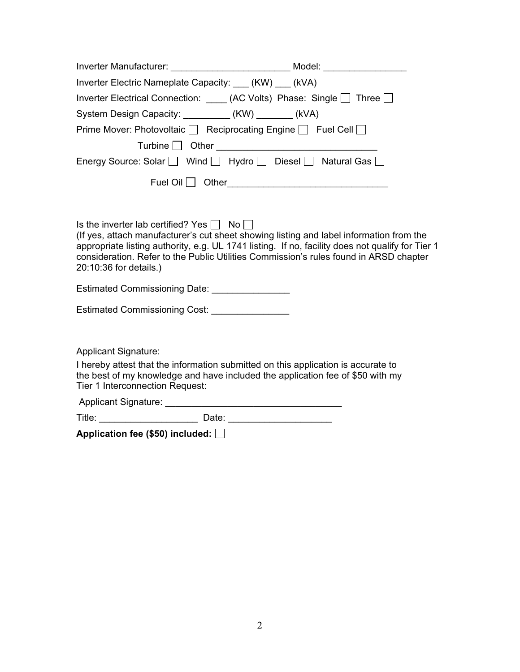| Inverter Electric Nameplate Capacity: ___ (KW) ___ (kVA)                                                                                                                                                                                                                                                                                                              |  |  |
|-----------------------------------------------------------------------------------------------------------------------------------------------------------------------------------------------------------------------------------------------------------------------------------------------------------------------------------------------------------------------|--|--|
| Inverter Electrical Connection: _____ (AC Volts) Phase: Single □ Three □                                                                                                                                                                                                                                                                                              |  |  |
| System Design Capacity: __________ (KW) _______ (kVA)                                                                                                                                                                                                                                                                                                                 |  |  |
| Prime Mover: Photovoltaic   Reciprocating Engine   Fuel Cell                                                                                                                                                                                                                                                                                                          |  |  |
| Turbine □ Other <u>_____________________________</u>                                                                                                                                                                                                                                                                                                                  |  |  |
| Energy Source: Solar   Wind   Hydro   Diesel   Natural Gas                                                                                                                                                                                                                                                                                                            |  |  |
|                                                                                                                                                                                                                                                                                                                                                                       |  |  |
|                                                                                                                                                                                                                                                                                                                                                                       |  |  |
| Is the inverter lab certified? Yes $\Box$ No $\Box$<br>(If yes, attach manufacturer's cut sheet showing listing and label information from the<br>appropriate listing authority, e.g. UL 1741 listing. If no, facility does not qualify for Tier 1<br>consideration. Refer to the Public Utilities Commission's rules found in ARSD chapter<br>20:10:36 for details.) |  |  |
| Estimated Commissioning Date: _______________                                                                                                                                                                                                                                                                                                                         |  |  |
| Estimated Commissioning Cost: _______________                                                                                                                                                                                                                                                                                                                         |  |  |
| <b>Applicant Signature:</b><br>I hereby attest that the information submitted on this application is accurate to<br>the best of my knowledge and have included the application fee of \$50 with my<br>Tier 1 Interconnection Request:                                                                                                                                 |  |  |
|                                                                                                                                                                                                                                                                                                                                                                       |  |  |
| Application fee (\$50) included:                                                                                                                                                                                                                                                                                                                                      |  |  |
|                                                                                                                                                                                                                                                                                                                                                                       |  |  |
|                                                                                                                                                                                                                                                                                                                                                                       |  |  |